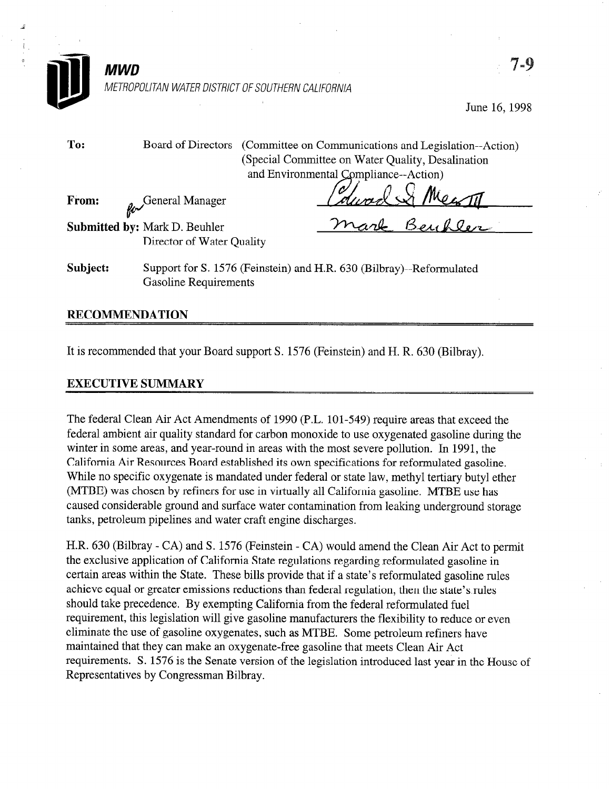

MWD

METROPOLITAN WATER DISTRICT OF SOUTHERN CALIFORNIA

June 16,1998

To: Board of Directors (Committee on Communications and Legislation--Action) (Special Committee on Water Quality, Desalination and Environmental Compliance--Action)

From: **A** General Manager

Submitted by: Mark D. Beuhler Director of Water Quality

Subject: Support for S. 1576 (Feinstein) and H.R. 630 (Bilbray)--Reformulated Gasoline Requirements

## RECOMMENDATION

It is recommended that your Board support S. 1576 (Feinstein) and H. R. 630 (Bilbray).

## EXECUTIVE SUMMARY

The federal Clean Air Act Amendments of 1990 (P.L. 101-549) require areas that exceed the federal ambient air quality standard for carbon monoxide to use oxygenated gasoline during the winter in some areas, and year-round in areas with the most severe pollution. In 1991, the California Air Resources Board established its own specifications for reformulated gasoline. While no specific oxygenate is mandated under federal or state law, methyl tertiary butyl ether (MTBE) was chosen by refiners for use in virtually all California gasoline. MTBE use has caused considerable ground and surface water contamination from leaking underground storage tanks, petroleum pipelines and water craft engine discharges.

H.R. 630 (Bilbray - CA) and S. 1576 (Feinstein - CA) would amend the Clean Air Act to permit the exclusive application of California State regulations regarding reformulated gasoline in certain areas within the State. These bills provide that if a state's reformulated gasoline rules achieve equal or greater emissions reductions than federal regulation, then the state's rules should take precedence. By exempting California from the federal reformulated fuel requirement, this legislation will give gasoline manufacturers the flexibility to reduce or even eliminate the use of gasoline oxygenates, such as MTBE. Some petroleum refiners have maintained that they can make an oxygenate-free gasoline that meets Clean Air Act requirements. S. 1576 is the Senate version of the legislation introduced last year in the House of Representatives by Congressman Bilbray.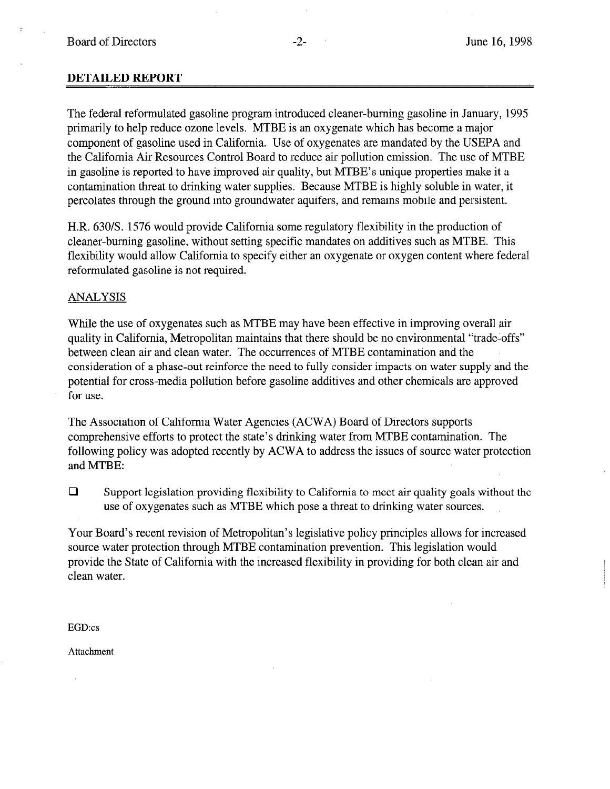## DETAILED REPORT

The federal reformulated gasoline program introduced cleaner-burning gasoline in January, 1995 primarily to help reduce ozone levels. MTBE is an oxygenate which has become a major component of gasoline used in California. Use of oxygenates are mandated by the USEPA and the California Air Resources Control Board to reduce air pollution emission. The use of MTBE in gasoline is reported to have improved air quality, but MTBE's unique properties make it a contamination threat to drinking water supplies. Because MTBE is highly soluble in water, it percolates through the ground into groundwater aquifers, and remains mobile and persistent.

H.R. 630/S. 1576 would provide California some regulatory flexibility in the production of cleaner-burning gasoline, without setting specific mandates on additives such as MTBE. This flexibility would allow California to specify either an oxygenate or oxygen content where federal reformulated gasoline is not required.

## ANALYSIS

While the use of oxygenates such as MTBE may have been effective in improving overall air quality in California, Metropolitan maintains that there should be no environmental "trade-offs" between clean air and clean water. The occurrences of MTBE contamination and the consideration of a phase-out reinforce the need to fully consider impacts on water supply and the potential for cross-media pollution before gasoline additives and other chemicals are approved for use.

The Association of California Water Agencies (ACWA) Board of Directors supports comprehensive efforts to protect the state's drinking water from MTBE contamination. The following policy was adopted recently by ACWA to address the issues of source water protection and MTBE:

 $\Box$  Support legislation providing flexibility to California to meet air quality goals without the use of oxygenates such as MTBE which pose a threat to drinking water sources.

Your Board's recent revision of Metropolitan's legislative policy principles allows for increased source water protection through MTBE contamination prevention. This legislation would provide the State of California with the increased flexibility in providing for both clean air and clean water.

EGD:cs

Attachment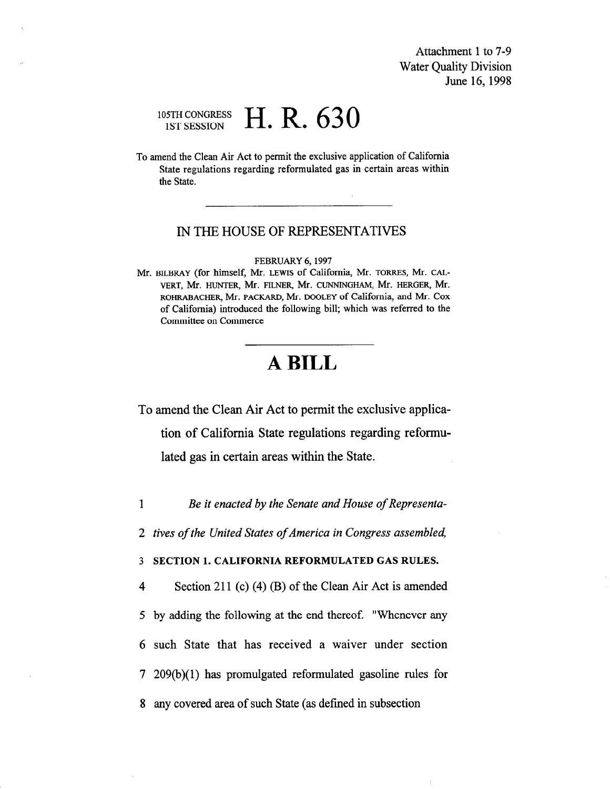Attachment 1 to 7-9 Water Quality Division June 16,1998

## 105TH CONGRESS DSTH CONGRESS  $H.R. 630$

To amend the Clean Air Act to permit the exclusive application of California State regulations regarding reformulated gas in certain areas within the State.

## IN THE HOUSE OF REPRESENTATIVES

#### FEBRUARY 6,1997

Mr. BILBRAY (for himself, Mr. LEWIS Of California, Mr. TORRES, Mr. CAL-VERT, Mr. HUNTER, Mr. FILNER, Mr. CUNNINGHAM, Mr. HERGER, Mr. ROHRABACHER, Mr. PACKARD, Mr. DOOLEY of California, and Mr. Cox. of California) introduced the following bill; which was referred to the Committee on Commerce

# A BILL

To amend the Clean Air Act to permit the exclusive application of California State regulations regarding reformulated gas in certain areas within the State.

1 Be it enacted by the Senate and House of Representa-

2 tives of the United States of America in Congress assembled,

3 SECTION 1. CALIFORNIA REFORMULATED GAS RULES.

4 Section 211 (c) (4) (B) of the Clean Air Act is amended 5 by adding the following at the end thereof. "Whenever any 6 such State that has received a waiver under section 7 209(b)(l) has promulgated reformulated gasoline rules for 8 any covered area of such State (as defined in subsection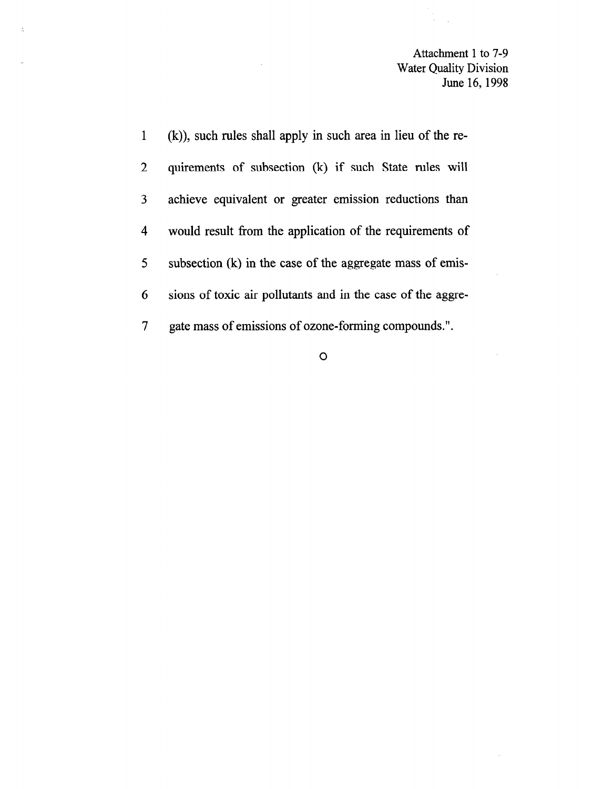Attachment 1 to 7-9 Water Quality Division June 16,1998

 $\sim 10^6$ 

 $\sim$   $\mu$  .

i<br>Provins

| 1              | (k)), such rules shall apply in such area in lieu of the re- |
|----------------|--------------------------------------------------------------|
| $2^{\circ}$    | quirements of subsection (k) if such State rules will        |
| 3              | achieve equivalent or greater emission reductions than       |
| 4 <sup>1</sup> | would result from the application of the requirements of     |
| 5 <sup>1</sup> | subsection (k) in the case of the aggregate mass of emis-    |
| 6              | sions of toxic air pollutants and in the case of the aggre-  |
| 7 <sup>1</sup> | gate mass of emissions of ozone-forming compounds.".         |

 $\sim$ 

 $\circ$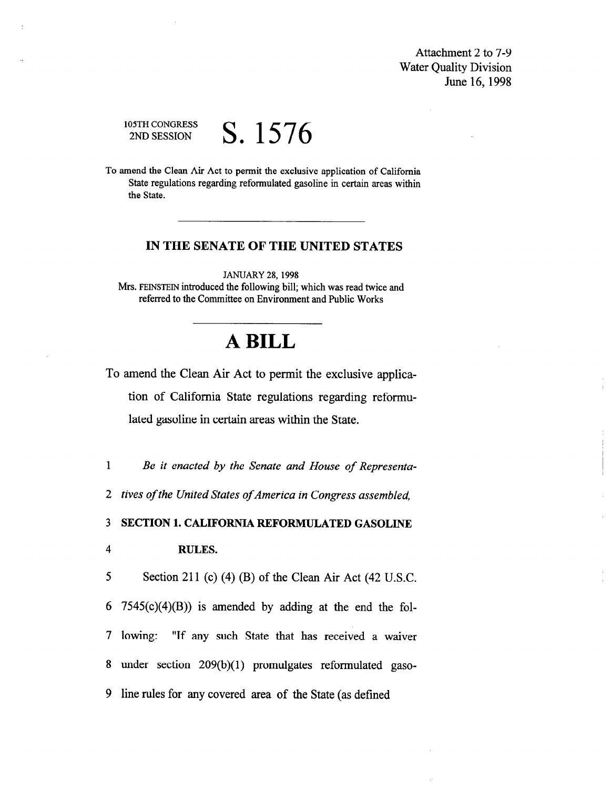Attachment 2 to 7-9 Water Quality Division June 16,1998

## 105TH CONGRESS <sup>OSTH CONGRESS</sup> S. 1576

To amend the Clean Air Act to permit the exclusive application of California State regulations regarding reformulated gasoline in certain areas within the State.

## IN THE SENATE OF THE UNITED STATES

JANUARY 28,1998 Mrs. FEINSTEIN introduced the following bill; which was read twice and referred to the Committee on Environment and Public Works

## A BILL

To amend the Clean Air Act to permit the exclusive application of California State regulations regarding reformulated gasoline in certain areas within the State.

1 Be it enacted by the Senate and House of Representa-

2 tives of the United States of America in Congress assembled,

3 SECTION 1. CALIFORNIA REFORMULATED GASOLINE

### 4 RULES.

5 Section 211 (c) (4) (B) of the Clean Air Act (42 U.S.C. 6 7545 $(c)(4)(B)$  is amended by adding at the end the fol-7 lowing: "If any such State that has received a waiver 8 under section 209(b)(l) promulgates reformulated gaso-9 line rules for any covered area of the State (as defined